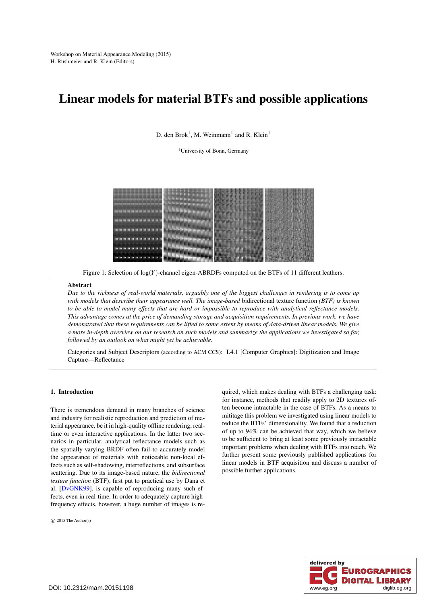# <span id="page-0-0"></span>Linear models for material BTFs and possible applications

D. den Brok<sup>1</sup>, M. Weinmann<sup>1</sup> and R. Klein<sup>1</sup>

<sup>1</sup>University of Bonn, Germany



Figure 1: Selection of log(*Y*)-channel eigen-ABRDFs computed on the BTFs of 11 different leathers.

## **Abstract**

*Due to the richness of real-world materials, arguably one of the biggest challenges in rendering is to come up with models that describe their appearance well. The image-based* bidirectional texture function *(BTF) is known to be able to model many effects that are hard or impossible to reproduce with analytical reflectance models. This advantage comes at the price of demanding storage and acquisition requirements. In previous work, we have demonstrated that these requirements can be lifted to some extent by means of data-driven linear models. We give a more in-depth overview on our research on such models and summarize the applications we investigated so far, followed by an outlook on what might yet be achievable.*

Categories and Subject Descriptors (according to ACM CCS): I.4.1 [Computer Graphics]: Digitization and Image Capture—Reflectance

## 1. Introduction

There is tremendous demand in many branches of science and industry for realistic reproduction and prediction of material appearance, be it in high-quality offline rendering, realtime or even interactive applications. In the latter two scenarios in particular, analytical reflectance models such as the spatially-varying BRDF often fail to accurately model the appearance of materials with noticeable non-local effects such as self-shadowing, interreflections, and subsurface scattering. Due to its image-based nature, the *bidirectional texture function* (BTF), first put to practical use by Dana et al. [\[DvGNK99\]](#page-4-0), is capable of reproducing many such effects, even in real-time. In order to adequately capture highfrequency effects, however, a huge number of images is re-

 $\circ$  2015 The Author(s)

quired, which makes dealing with BTFs a challenging task: for instance, methods that readily apply to 2D textures often become intractable in the case of BTFs. As a means to mititage this problem we investigated using linear models to reduce the BTFs' dimensionality. We found that a reduction of up to 94% can be achieved that way, which we believe to be sufficient to bring at least some previously intractable important problems when dealing with BTFs into reach. We further present some previously published applications for linear models in BTF acquisition and discuss a number of possible further applications.

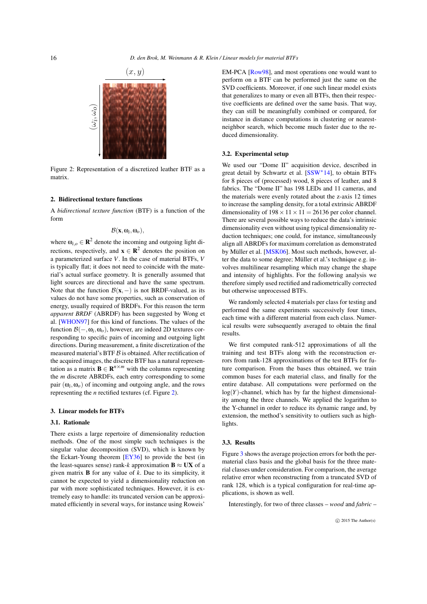<span id="page-1-2"></span><span id="page-1-0"></span>

Figure 2: Representation of a discretized leather BTF as a matrix.

# 2. Bidirectional texture functions

A *bidirectional texture function* (BTF) is a function of the form

$$
\mathcal{B}(\mathbf{x},\omega_i,\omega_o),
$$

where  $\omega_{i,o} \in \mathbb{R}^2$  denote the incoming and outgoing light directions, respectively, and  $\mathbf{x} \in \mathbb{R}^2$  denotes the position on a parameterized surface *V*. In the case of material BTFs, *V* is typically flat; it does not need to coincide with the material's actual surface geometry. It is generally assumed that light sources are directional and have the same spectrum. Note that the function  $\mathcal{B}(x, -)$  is not BRDF-valued, as its values do not have some properties, such as conservation of energy, usually required of BRDFs. For this reason the term *apparent BRDF* (ABRDF) has been suggested by Wong et al. [\[WHON97\]](#page-4-1) for this kind of functions. The values of the function B(−,ω*i*,ω*o*), however, are indeed 2D textures corresponding to specific pairs of incoming and outgoing light directions. During measurement, a finite discretization of the measured material's BTF  $\beta$  is obtained. After rectification of the acquired images, the discrete BTF has a natural representation as a matrix  $\mathbf{B} \in \mathbb{R}^{n \times m}$  with the columns representing the *m* discrete ABRDFs, each entry corresponding to some pair  $(\omega_i, \omega_o)$  of incoming and outgoing angle, and the rows representing the *n* rectified textures (cf. Figure [2\)](#page-1-0).

## <span id="page-1-1"></span>3. Linear models for BTFs

#### 3.1. Rationale

There exists a large repertoire of dimensionality reduction methods. One of the most simple such techniques is the singular value decomposition (SVD), which is known by the Eckart-Young theorem [\[EY36\]](#page-4-2) to provide the best (in the least-squares sense) rank-*k* approximation  $B \approx UX$  of a given matrix B for any value of *k*. Due to its simplicity, it cannot be expected to yield a dimensionality reduction on par with more sophisticated techniques. However, it is extremely easy to handle: its truncated version can be approximated efficiently in several ways, for instance using Roweis'

EM-PCA [\[Row98\]](#page-4-3), and most operations one would want to perform on a BTF can be performed just the same on the SVD coefficients. Moreover, if one such linear model exists that generalizes to many or even all BTFs, then their respective coefficients are defined over the same basis. That way, they can still be meaningfully combined or compared, for instance in distance computations in clustering or nearestneighbor search, which become much faster due to the reduced dimensionality.

# 3.2. Experimental setup

We used our "Dome II" acquisition device, described in great detail by Schwartz et al. [\[SSW](#page-4-4)∗14], to obtain BTFs for 8 pieces of (processed) wood, 8 pieces of leather, and 8 fabrics. The "Dome II" has 198 LEDs and 11 cameras, and the materials were evenly rotated about the z-axis 12 times to increase the sampling density, for a total extrinsic ABRDF dimensionality of  $198 \times 11 \times 11 = 26136$  per color channel. There are several possible ways to reduce the data's intrinsic dimensionality even without using typical dimensionality reduction techniques; one could, for instance, simultaneously align all ABRDFs for maximum correlation as demonstrated by Müller et al. [\[MSK06\]](#page-4-5). Most such methods, however, alter the data to some degree; Müller et al.'s technique e.g. involves multilinear resampling which may change the shape and intensity of highlights. For the following analysis we therefore simply used rectified and radiometrically corrected but otherwise unprocessed BTFs.

We randomly selected 4 materials per class for testing and performed the same experiments successively four times, each time with a different material from each class. Numerical results were subsequently averaged to obtain the final results.

We first computed rank-512 approximations of all the training and test BTFs along with the reconstruction errors from rank-128 approximations of the test BTFs for future comparison. From the bases thus obtained, we train common bases for each material class, and finally for the entire database. All computations were performed on the  $log(Y)$ -channel, which has by far the highest dimensionality among the three channels. We applied the logarithm to the Y-channel in order to reduce its dynamic range and, by extension, the method's sensitivity to outliers such as highlights.

# 3.3. Results

Figure [3](#page-2-0) shows the average projection errors for both the permaterial class basis and the global basis for the three material classes under consideration. For comparison, the average relative error when reconstructing from a truncated SVD of rank 128, which is a typical configuration for real-time applications, is shown as well.

Interestingly, for two of three classes – *wood* and *fabric* –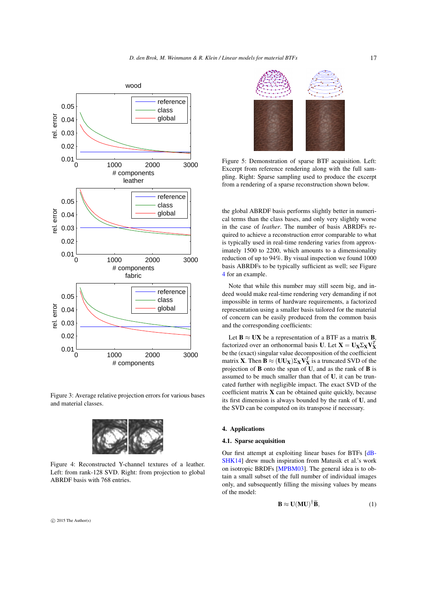<span id="page-2-3"></span><span id="page-2-0"></span>

Figure 3: Average relative projection errors for various bases and material classes.

<span id="page-2-1"></span>

Figure 4: Reconstructed Y-channel textures of a leather. Left: from rank-128 SVD. Right: from projection to global ABRDF basis with 768 entries.

 $\circ$  2015 The Author(s)

<span id="page-2-2"></span>

Figure 5: Demonstration of sparse BTF acquisition. Left: Excerpt from reference rendering along with the full sampling. Right: Sparse sampling used to produce the excerpt from a rendering of a sparse reconstruction shown below.

the global ABRDF basis performs slightly better in numerical terms than the class bases, and only very slightly worse in the case of *leather*. The number of basis ABRDFs required to achieve a reconstruction error comparable to what is typically used in real-time rendering varies from approximately 1500 to 2200, which amounts to a dimensionality reduction of up to 94%. By visual inspection we found 1000 basis ABRDFs to be typically sufficient as well; see Figure [4](#page-2-1) for an example.

Note that while this number may still seem big, and indeed would make real-time rendering very demanding if not impossible in terms of hardware requirements, a factorized representation using a smaller basis tailored for the material of concern can be easily produced from the common basis and the corresponding coefficients:

Let  $B \approx UX$  be a representation of a BTF as a matrix **B**, factorized over an orthonormal basis **U**. Let **X** =  $U_X \Sigma_X V_X^T$ be the (exact) singular value decomposition of the coefficient matrix **X**. Then **B**  $\approx$  (**UU<sub>X</sub>**) $\Sigma_X V_X^T$  is a truncated SVD of the projection of B onto the span of U, and as the rank of B is assumed to be much smaller than that of U, it can be truncated further with negligible impact. The exact SVD of the coefficient matrix  $X$  can be obtained quite quickly, because its first dimension is always bounded by the rank of U, and the SVD can be computed on its transpose if necessary.

# 4. Applications

## 4.1. Sparse acquisition

Our first attempt at exploiting linear bases for BTFs [\[dB-](#page-4-6)[SHK14\]](#page-4-6) drew much inspiration from Matusik et al.'s work on isotropic BRDFs [\[MPBM03\]](#page-4-7). The general idea is to obtain a small subset of the full number of individual images only, and subsequently filling the missing values by means of the model:

$$
\mathbf{B} \approx \mathbf{U}(\mathbf{M}\mathbf{U})^{\dagger} \widetilde{\mathbf{B}},\tag{1}
$$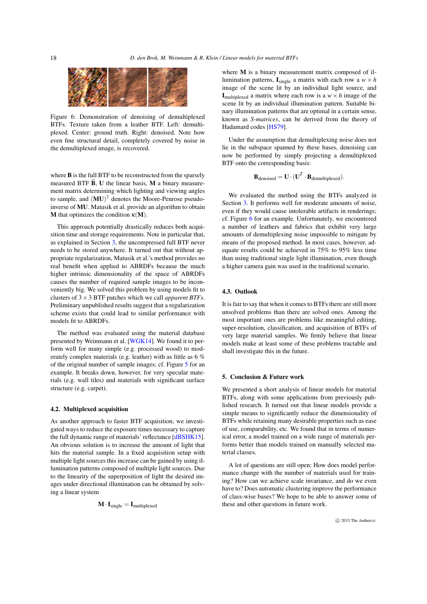<span id="page-3-1"></span><span id="page-3-0"></span>

Figure 6: Demonstration of denoising of demultiplexed BTFs. Texture taken from a leather BTF. Left: demultiplexed. Center: ground truth. Right: denoised. Note how even fine structural detail, completely covered by noise in the demultiplexed image, is recovered.

where **B** is the full BTF to be reconstructed from the sparsely measured BTF  $\tilde{B}$ , U the linear basis, M a binary measurement matrix determining which lighting and viewing angles to sample, and  $(MU)^{\dagger}$  denotes the Moore-Penrose pseudoinverse of MU. Matusik et al. provide an algorithm to obtain M that optimizes the condition  $\kappa(M)$ .

This approach potentially drastically reduces both acquisition time and storage requirements. Note in particular that, as explained in Section [3,](#page-1-1) the uncompressed full BTF never needs to be stored anywhere. It turned out that without appropriate regularization, Matusik et al.'s method provides no real benefit when applied to ABRDFs because the much higher intrinsic dimensionality of the space of ABRDFs causes the number of required sample images to be inconveniently big. We solved this problem by using models fit to clusters of 3×3 BTF patches which we call *apparent BTFs*. Preliminary unpublished results suggest that a regularization scheme exists that could lead to similar performance with models fit to ABRDFs.

The method was evaluated using the material database presented by Weinmann et al. [\[WGK14\]](#page-4-8). We found it to perform well for many simple (e.g. processed wood) to moderately complex materials (e.g. leather) with as little as 6 % of the original number of sample images; cf. Figure [5](#page-2-2) for an example. It breaks down, however, for very specular materials (e.g. wall tiles) and materials with significant surface structure (e.g. carpet).

#### 4.2. Multiplexed acquisition

As another approach to faster BTF acquisition, we investigated ways to reduce the exposure times necessary to capture the full dynamic range of materials' reflectance [\[dBSHK15\]](#page-4-9). An obvious solution is to increase the amount of light that hits the material sample. In a fixed acquisition setup with multiple light sources this increase can be gained by using illumination patterns composed of multiple light sources. Due to the linearity of the superposition of light the desired images under directional illumination can be obtained by solving a linear system

$$
\mathbf{M} \cdot \mathbf{I}_{single} = \mathbf{I}_{multiplexed}
$$

where M is a binary measurement matrix composed of illumination patterns,  $I_{single}$  a matrix with each row a  $w \times h$ image of the scene lit by an individual light source, and I<sub>multiplexed</sub> a matrix where each row is a  $w \times h$  image of the scene lit by an individual illumination pattern. Suitable binary illumination patterns that are optimal in a certain sense, known as *S-matrices*, can be derived from the theory of Hadamard codes [\[HS79\]](#page-4-10).

Under the assumption that demultiplexing noise does not lie in the subspace spanned by these bases, denoising can now be performed by simply projecting a demultiplexed BTF onto the corresponding basis:

$$
\mathbf{B}_{\text{denoised}} = \mathbf{U} \cdot (\mathbf{U}^T \cdot \mathbf{B}_{\text{demultiplexed}}).
$$

We evaluated the method using the BTFs analyzed in Section [3.](#page-1-1) It performs well for moderate amounts of noise, even if they would cause intolerable artifacts in renderings; cf. Figure [6](#page-3-0) for an example. Unfortunately, we encountered a number of leathers and fabrics that exhibit very large amounts of demultiplexing noise impossible to mitigate by means of the proposed method. In most cases, however, adequate results could be achieved in 75% to 95% less time than using traditional single light illumination, even though a higher camera gain was used in the traditional scenario.

### 4.3. Outlook

It is fair to say that when it comes to BTFs there are still more unsolved problems than there are solved ones. Among the most important ones are problems like meaningful editing, super-resolution, classification, and acquisition of BTFs of very large material samples. We firmly believe that linear models make at least some of these problems tractable and shall investigate this in the future.

## 5. Conclusion & Future work

We presented a short analysis of linear models for material BTFs, along with some applications from previously published research. It turned out that linear models provide a simple means to significantly reduce the dimensionality of BTFs while retaining many desirable properties such as ease of use, comparability, etc. We found that in terms of numerical error, a model trained on a wide range of materials performs better than models trained on manually selected material classes.

A lot of questions are still open: How does model performance change with the number of materials used for training? How can we achieve scale invariance, and do we even have to? Does automatic clustering improve the performance of class-wise bases? We hope to be able to answer some of these and other questions in future work.